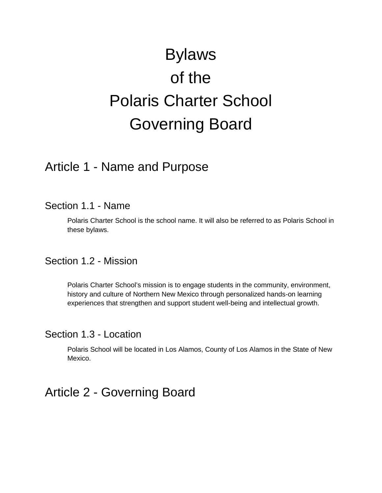# Bylaws of the Polaris Charter School Governing Board

## Article 1 - Name and Purpose

## Section 1.1 - Name

Polaris Charter School is the school name. It will also be referred to as Polaris School in these bylaws.

Section 1.2 - Mission

Polaris Charter School's mission is to engage students in the community, environment, history and culture of Northern New Mexico through personalized hands-on learning experiences that strengthen and support student well-being and intellectual growth.

## Section 1.3 - Location

Polaris School will be located in Los Alamos, County of Los Alamos in the State of New Mexico.

## Article 2 - Governing Board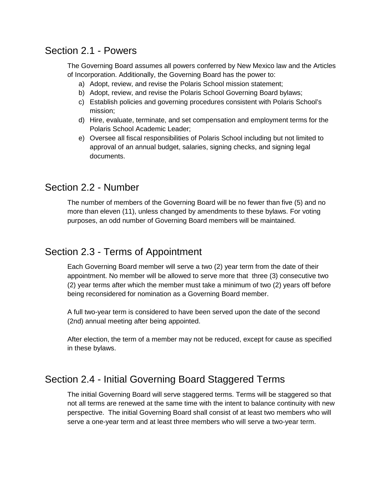## Section 2.1 - Powers

The Governing Board assumes all powers conferred by New Mexico law and the Articles of Incorporation. Additionally, the Governing Board has the power to:

- a) Adopt, review, and revise the Polaris School mission statement;
- b) Adopt, review, and revise the Polaris School Governing Board bylaws;
- c) Establish policies and governing procedures consistent with Polaris School's mission;
- d) Hire, evaluate, terminate, and set compensation and employment terms for the Polaris School Academic Leader;
- e) Oversee all fiscal responsibilities of Polaris School including but not limited to approval of an annual budget, salaries, signing checks, and signing legal documents.

## Section 2.2 - Number

The number of members of the Governing Board will be no fewer than five (5) and no more than eleven (11), unless changed by amendments to these bylaws. For voting purposes, an odd number of Governing Board members will be maintained.

## Section 2.3 - Terms of Appointment

Each Governing Board member will serve a two (2) year term from the date of their appointment. No member will be allowed to serve more that three (3) consecutive two (2) year terms after which the member must take a minimum of two (2) years off before being reconsidered for nomination as a Governing Board member.

A full two-year term is considered to have been served upon the date of the second (2nd) annual meeting after being appointed.

After election, the term of a member may not be reduced, except for cause as specified in these bylaws.

## Section 2.4 - Initial Governing Board Staggered Terms

The initial Governing Board will serve staggered terms. Terms will be staggered so that not all terms are renewed at the same time with the intent to balance continuity with new perspective. The initial Governing Board shall consist of at least two members who will serve a one-year term and at least three members who will serve a two-year term.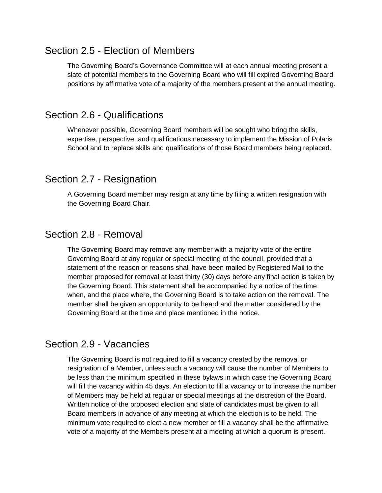## Section 2.5 - Election of Members

The Governing Board's Governance Committee will at each annual meeting present a slate of potential members to the Governing Board who will fill expired Governing Board positions by affirmative vote of a majority of the members present at the annual meeting.

## Section 2.6 - Qualifications

Whenever possible, Governing Board members will be sought who bring the skills, expertise, perspective, and qualifications necessary to implement the Mission of Polaris School and to replace skills and qualifications of those Board members being replaced.

## Section 2.7 - Resignation

A Governing Board member may resign at any time by filing a written resignation with the Governing Board Chair.

## Section 2.8 - Removal

The Governing Board may remove any member with a majority vote of the entire Governing Board at any regular or special meeting of the council, provided that a statement of the reason or reasons shall have been mailed by Registered Mail to the member proposed for removal at least thirty (30) days before any final action is taken by the Governing Board. This statement shall be accompanied by a notice of the time when, and the place where, the Governing Board is to take action on the removal. The member shall be given an opportunity to be heard and the matter considered by the Governing Board at the time and place mentioned in the notice.

## Section 2.9 - Vacancies

The Governing Board is not required to fill a vacancy created by the removal or resignation of a Member, unless such a vacancy will cause the number of Members to be less than the minimum specified in these bylaws in which case the Governing Board will fill the vacancy within 45 days. An election to fill a vacancy or to increase the number of Members may be held at regular or special meetings at the discretion of the Board. Written notice of the proposed election and slate of candidates must be given to all Board members in advance of any meeting at which the election is to be held. The minimum vote required to elect a new member or fill a vacancy shall be the affirmative vote of a majority of the Members present at a meeting at which a quorum is present.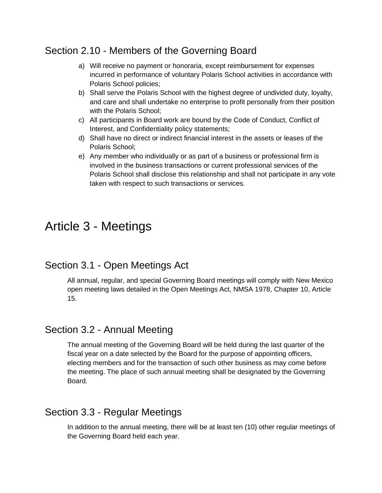## Section 2.10 - Members of the Governing Board

- a) Will receive no payment or honoraria, except reimbursement for expenses incurred in performance of voluntary Polaris School activities in accordance with Polaris School policies;
- b) Shall serve the Polaris School with the highest degree of undivided duty, loyalty, and care and shall undertake no enterprise to profit personally from their position with the Polaris School;
- c) All participants in Board work are bound by the Code of Conduct, Conflict of Interest, and Confidentiality policy statements;
- d) Shall have no direct or indirect financial interest in the assets or leases of the Polaris School;
- e) Any member who individually or as part of a business or professional firm is involved in the business transactions or current professional services of the Polaris School shall disclose this relationship and shall not participate in any vote taken with respect to such transactions or services.

## Article 3 - Meetings

## Section 3.1 - Open Meetings Act

All annual, regular, and special Governing Board meetings will comply with New Mexico open meeting laws detailed in the Open Meetings Act, NMSA 1978, Chapter 10, Article 15.

## Section 3.2 - Annual Meeting

The annual meeting of the Governing Board will be held during the last quarter of the fiscal year on a date selected by the Board for the purpose of appointing officers, electing members and for the transaction of such other business as may come before the meeting. The place of such annual meeting shall be designated by the Governing Board.

## Section 3.3 - Regular Meetings

In addition to the annual meeting, there will be at least ten (10) other regular meetings of the Governing Board held each year.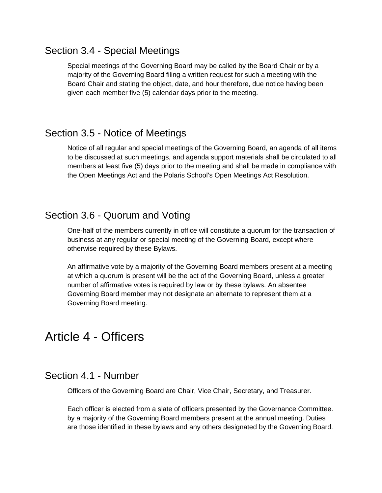## Section 3.4 - Special Meetings

Special meetings of the Governing Board may be called by the Board Chair or by a majority of the Governing Board filing a written request for such a meeting with the Board Chair and stating the object, date, and hour therefore, due notice having been given each member five (5) calendar days prior to the meeting.

## Section 3.5 - Notice of Meetings

Notice of all regular and special meetings of the Governing Board, an agenda of all items to be discussed at such meetings, and agenda support materials shall be circulated to all members at least five (5) days prior to the meeting and shall be made in compliance with the Open Meetings Act and the Polaris School's Open Meetings Act Resolution.

## Section 3.6 - Quorum and Voting

One-half of the members currently in office will constitute a quorum for the transaction of business at any regular or special meeting of the Governing Board, except where otherwise required by these Bylaws.

An affirmative vote by a majority of the Governing Board members present at a meeting at which a quorum is present will be the act of the Governing Board, unless a greater number of affirmative votes is required by law or by these bylaws. An absentee Governing Board member may not designate an alternate to represent them at a Governing Board meeting.

## Article 4 - Officers

## Section 4.1 - Number

Officers of the Governing Board are Chair, Vice Chair, Secretary, and Treasurer.

Each officer is elected from a slate of officers presented by the Governance Committee. by a majority of the Governing Board members present at the annual meeting. Duties are those identified in these bylaws and any others designated by the Governing Board.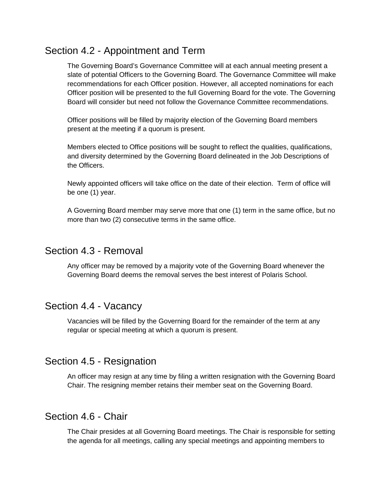## Section 4.2 - Appointment and Term

The Governing Board's Governance Committee will at each annual meeting present a slate of potential Officers to the Governing Board. The Governance Committee will make recommendations for each Officer position. However, all accepted nominations for each Officer position will be presented to the full Governing Board for the vote. The Governing Board will consider but need not follow the Governance Committee recommendations.

Officer positions will be filled by majority election of the Governing Board members present at the meeting if a quorum is present.

Members elected to Office positions will be sought to reflect the qualities, qualifications, and diversity determined by the Governing Board delineated in the Job Descriptions of the Officers.

Newly appointed officers will take office on the date of their election. Term of office will be one (1) year.

A Governing Board member may serve more that one (1) term in the same office, but no more than two (2) consecutive terms in the same office.

## Section 4.3 - Removal

Any officer may be removed by a majority vote of the Governing Board whenever the Governing Board deems the removal serves the best interest of Polaris School.

## Section 4.4 - Vacancy

Vacancies will be filled by the Governing Board for the remainder of the term at any regular or special meeting at which a quorum is present.

## Section 4.5 - Resignation

An officer may resign at any time by filing a written resignation with the Governing Board Chair. The resigning member retains their member seat on the Governing Board.

## Section 4.6 - Chair

The Chair presides at all Governing Board meetings. The Chair is responsible for setting the agenda for all meetings, calling any special meetings and appointing members to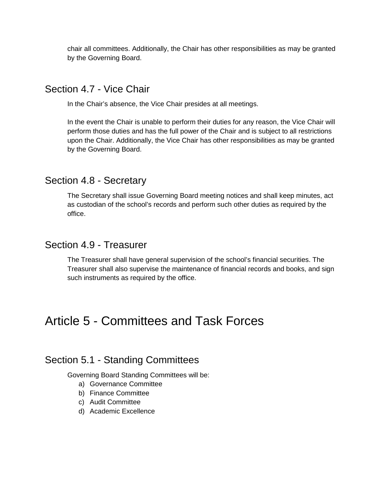chair all committees. Additionally, the Chair has other responsibilities as may be granted by the Governing Board.

## Section 4.7 - Vice Chair

In the Chair's absence, the Vice Chair presides at all meetings.

In the event the Chair is unable to perform their duties for any reason, the Vice Chair will perform those duties and has the full power of the Chair and is subject to all restrictions upon the Chair. Additionally, the Vice Chair has other responsibilities as may be granted by the Governing Board.

## Section 4.8 - Secretary

The Secretary shall issue Governing Board meeting notices and shall keep minutes, act as custodian of the school's records and perform such other duties as required by the office.

## Section 4.9 - Treasurer

The Treasurer shall have general supervision of the school's financial securities. The Treasurer shall also supervise the maintenance of financial records and books, and sign such instruments as required by the office.

## Article 5 - Committees and Task Forces

## Section 5.1 - Standing Committees

Governing Board Standing Committees will be:

- a) Governance Committee
- b) Finance Committee
- c) Audit Committee
- d) Academic Excellence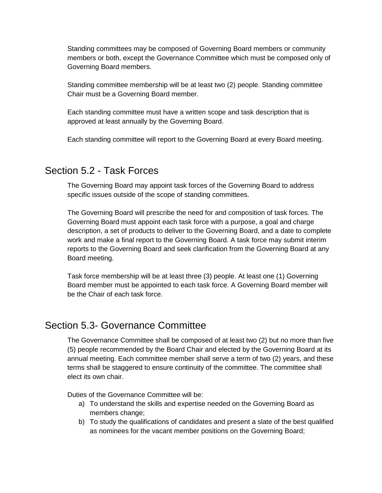Standing committees may be composed of Governing Board members or community members or both, except the Governance Committee which must be composed only of Governing Board members.

Standing committee membership will be at least two (2) people. Standing committee Chair must be a Governing Board member.

Each standing committee must have a written scope and task description that is approved at least annually by the Governing Board.

Each standing committee will report to the Governing Board at every Board meeting.

## Section 5.2 - Task Forces

The Governing Board may appoint task forces of the Governing Board to address specific issues outside of the scope of standing committees.

The Governing Board will prescribe the need for and composition of task forces. The Governing Board must appoint each task force with a purpose, a goal and charge description, a set of products to deliver to the Governing Board, and a date to complete work and make a final report to the Governing Board. A task force may submit interim reports to the Governing Board and seek clarification from the Governing Board at any Board meeting.

Task force membership will be at least three (3) people. At least one (1) Governing Board member must be appointed to each task force. A Governing Board member will be the Chair of each task force.

## Section 5.3- Governance Committee

The Governance Committee shall be composed of at least two (2) but no more than five (5) people recommended by the Board Chair and elected by the Governing Board at its annual meeting. Each committee member shall serve a term of two (2) years, and these terms shall be staggered to ensure continuity of the committee. The committee shall elect its own chair.

Duties of the Governance Committee will be:

- a) To understand the skills and expertise needed on the Governing Board as members change;
- b) To study the qualifications of candidates and present a slate of the best qualified as nominees for the vacant member positions on the Governing Board;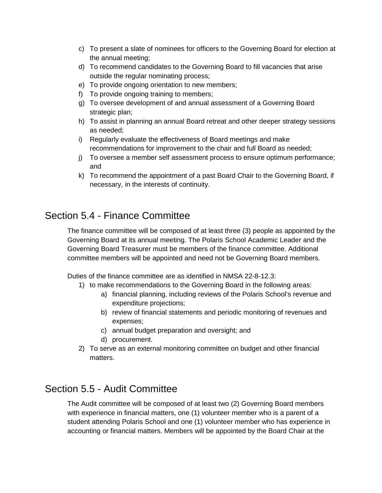- c) To present a slate of nominees for officers to the Governing Board for election at the annual meeting;
- d) To recommend candidates to the Governing Board to fill vacancies that arise outside the regular nominating process;
- e) To provide ongoing orientation to new members;
- f) To provide ongoing training to members;
- g) To oversee development of and annual assessment of a Governing Board strategic plan;
- h) To assist in planning an annual Board retreat and other deeper strategy sessions as needed;
- i) Regularly evaluate the effectiveness of Board meetings and make recommendations for improvement to the chair and full Board as needed;
- j) To oversee a member self assessment process to ensure optimum performance; and
- k) To recommend the appointment of a past Board Chair to the Governing Board, if necessary, in the interests of continuity.

## Section 5.4 - Finance Committee

The finance committee will be composed of at least three (3) people as appointed by the Governing Board at its annual meeting. The Polaris School Academic Leader and the Governing Board Treasurer must be members of the finance committee. Additional committee members will be appointed and need not be Governing Board members.

Duties of the finance committee are as identified in NMSA 22-8-12.3:

- 1) to make recommendations to the Governing Board in the following areas:
	- a) financial planning, including reviews of the Polaris School's revenue and expenditure projections;
	- b) review of financial statements and periodic monitoring of revenues and expenses;
	- c) annual budget preparation and oversight; and
	- d) procurement.
- 2) To serve as an external monitoring committee on budget and other financial matters.

## Section 5.5 - Audit Committee

The Audit committee will be composed of at least two (2) Governing Board members with experience in financial matters, one (1) volunteer member who is a parent of a student attending Polaris School and one (1) volunteer member who has experience in accounting or financial matters. Members will be appointed by the Board Chair at the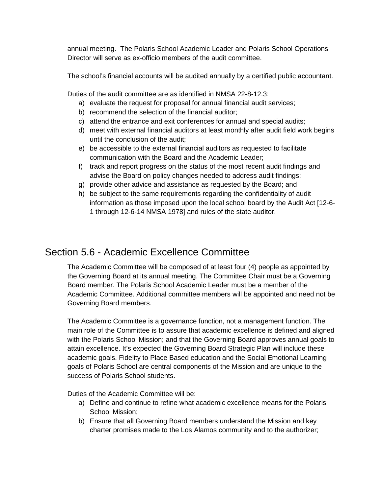annual meeting. The Polaris School Academic Leader and Polaris School Operations Director will serve as ex-officio members of the audit committee.

The school's financial accounts will be audited annually by a certified public accountant.

Duties of the audit committee are as identified in NMSA 22-8-12.3:

- a) evaluate the request for proposal for annual financial audit services;
- b) recommend the selection of the financial auditor;
- c) attend the entrance and exit conferences for annual and special audits;
- d) meet with external financial auditors at least monthly after audit field work begins until the conclusion of the audit;
- e) be accessible to the external financial auditors as requested to facilitate communication with the Board and the Academic Leader;
- f) track and report progress on the status of the most recent audit findings and advise the Board on policy changes needed to address audit findings;
- g) provide other advice and assistance as requested by the Board; and
- h) be subject to the same requirements regarding the confidentiality of audit information as those imposed upon the local school board by the Audit Act [12-6- 1 through 12-6-14 NMSA 1978] and rules of the state auditor.

## Section 5.6 - Academic Excellence Committee

The Academic Committee will be composed of at least four (4) people as appointed by the Governing Board at its annual meeting. The Committee Chair must be a Governing Board member. The Polaris School Academic Leader must be a member of the Academic Committee. Additional committee members will be appointed and need not be Governing Board members.

The Academic Committee is a governance function, not a management function. The main role of the Committee is to assure that academic excellence is defined and aligned with the Polaris School Mission; and that the Governing Board approves annual goals to attain excellence. It's expected the Governing Board Strategic Plan will include these academic goals. Fidelity to Place Based education and the Social Emotional Learning goals of Polaris School are central components of the Mission and are unique to the success of Polaris School students.

Duties of the Academic Committee will be:

- a) Define and continue to refine what academic excellence means for the Polaris School Mission;
- b) Ensure that all Governing Board members understand the Mission and key charter promises made to the Los Alamos community and to the authorizer;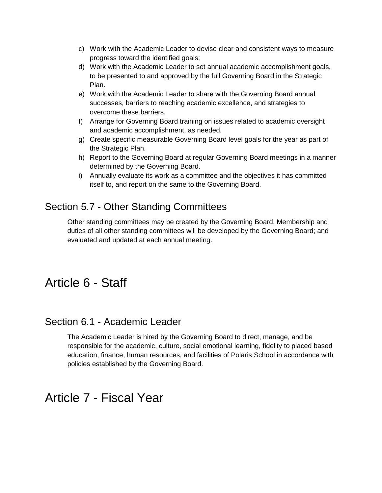- c) Work with the Academic Leader to devise clear and consistent ways to measure progress toward the identified goals;
- d) Work with the Academic Leader to set annual academic accomplishment goals, to be presented to and approved by the full Governing Board in the Strategic Plan.
- e) Work with the Academic Leader to share with the Governing Board annual successes, barriers to reaching academic excellence, and strategies to overcome these barriers.
- f) Arrange for Governing Board training on issues related to academic oversight and academic accomplishment, as needed.
- g) Create specific measurable Governing Board level goals for the year as part of the Strategic Plan.
- h) Report to the Governing Board at regular Governing Board meetings in a manner determined by the Governing Board.
- i) Annually evaluate its work as a committee and the objectives it has committed itself to, and report on the same to the Governing Board.

## Section 5.7 - Other Standing Committees

Other standing committees may be created by the Governing Board. Membership and duties of all other standing committees will be developed by the Governing Board; and evaluated and updated at each annual meeting.

## Article 6 - Staff

## Section 6.1 - Academic Leader

The Academic Leader is hired by the Governing Board to direct, manage, and be responsible for the academic, culture, social emotional learning, fidelity to placed based education, finance, human resources, and facilities of Polaris School in accordance with policies established by the Governing Board.

## Article 7 - Fiscal Year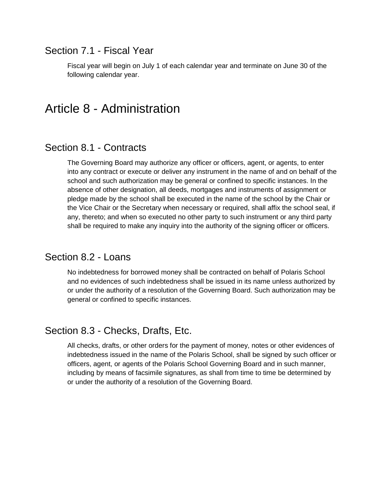## Section 7.1 - Fiscal Year

Fiscal year will begin on July 1 of each calendar year and terminate on June 30 of the following calendar year.

## Article 8 - Administration

## Section 8.1 - Contracts

The Governing Board may authorize any officer or officers, agent, or agents, to enter into any contract or execute or deliver any instrument in the name of and on behalf of the school and such authorization may be general or confined to specific instances. In the absence of other designation, all deeds, mortgages and instruments of assignment or pledge made by the school shall be executed in the name of the school by the Chair or the Vice Chair or the Secretary when necessary or required, shall affix the school seal, if any, thereto; and when so executed no other party to such instrument or any third party shall be required to make any inquiry into the authority of the signing officer or officers.

## Section 8.2 - Loans

No indebtedness for borrowed money shall be contracted on behalf of Polaris School and no evidences of such indebtedness shall be issued in its name unless authorized by or under the authority of a resolution of the Governing Board. Such authorization may be general or confined to specific instances.

## Section 8.3 - Checks, Drafts, Etc.

All checks, drafts, or other orders for the payment of money, notes or other evidences of indebtedness issued in the name of the Polaris School, shall be signed by such officer or officers, agent, or agents of the Polaris School Governing Board and in such manner, including by means of facsimile signatures, as shall from time to time be determined by or under the authority of a resolution of the Governing Board.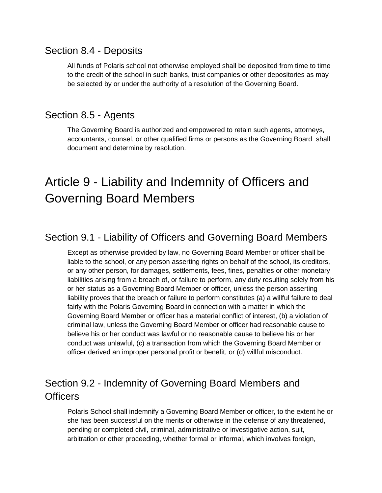## Section 8.4 - Deposits

All funds of Polaris school not otherwise employed shall be deposited from time to time to the credit of the school in such banks, trust companies or other depositories as may be selected by or under the authority of a resolution of the Governing Board.

## Section 8.5 - Agents

The Governing Board is authorized and empowered to retain such agents, attorneys, accountants, counsel, or other qualified firms or persons as the Governing Board shall document and determine by resolution.

## Article 9 - Liability and Indemnity of Officers and Governing Board Members

## Section 9.1 - Liability of Officers and Governing Board Members

Except as otherwise provided by law, no Governing Board Member or officer shall be liable to the school, or any person asserting rights on behalf of the school, its creditors, or any other person, for damages, settlements, fees, fines, penalties or other monetary liabilities arising from a breach of, or failure to perform, any duty resulting solely from his or her status as a Governing Board Member or officer, unless the person asserting liability proves that the breach or failure to perform constitutes (a) a willful failure to deal fairly with the Polaris Governing Board in connection with a matter in which the Governing Board Member or officer has a material conflict of interest, (b) a violation of criminal law, unless the Governing Board Member or officer had reasonable cause to believe his or her conduct was lawful or no reasonable cause to believe his or her conduct was unlawful, (c) a transaction from which the Governing Board Member or officer derived an improper personal profit or benefit, or (d) willful misconduct.

## Section 9.2 - Indemnity of Governing Board Members and **Officers**

Polaris School shall indemnify a Governing Board Member or officer, to the extent he or she has been successful on the merits or otherwise in the defense of any threatened, pending or completed civil, criminal, administrative or investigative action, suit, arbitration or other proceeding, whether formal or informal, which involves foreign,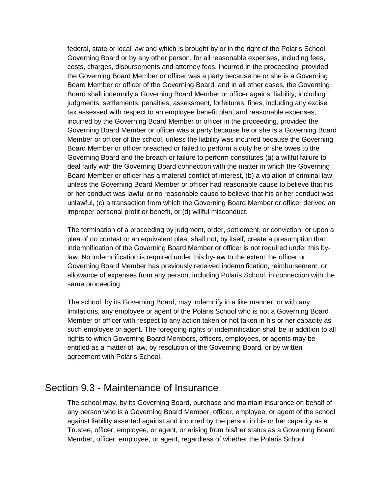federal, state or local law and which is brought by or in the right of the Polaris School Governing Board or by any other person, for all reasonable expenses, including fees, costs, charges, disbursements and attorney fees, incurred in the proceeding, provided the Governing Board Member or officer was a party because he or she is a Governing Board Member or officer of the Governing Board, and in all other cases, the Governing Board shall indemnify a Governing Board Member or officer against liability, including judgments, settlements, penalties, assessment, forfeitures, fines, including any excise tax assessed with respect to an employee benefit plan, and reasonable expenses, incurred by the Governing Board Member or officer in the proceeding, provided the Governing Board Member or officer was a party because he or she is a Governing Board Member or officer of the school, unless the liability was incurred because the Governing Board Member or officer breached or failed to perform a duty he or she owes to the Governing Board and the breach or failure to perform constitutes (a) a willful failure to deal fairly with the Governing Board connection with the matter in which the Governing Board Member or officer has a material conflict of interest, (b) a violation of criminal law, unless the Governing Board Member or officer had reasonable cause to believe that his or her conduct was lawful or no reasonable cause to believe that his or her conduct was unlawful, (c) a transaction from which the Governing Board Member or officer derived an improper personal profit or benefit, or (d) willful misconduct.

The termination of a proceeding by judgment, order, settlement, or conviction, or upon a plea of no contest or an equivalent plea, shall not, by itself, create a presumption that indemnification of the Governing Board Member or officer is not required under this bylaw. No indemnification is required under this by-law to the extent the officer or Governing Board Member has previously received indemnification, reimbursement, or allowance of expenses from any person, including Polaris School, in connection with the same proceeding.

The school, by its Governing Board, may indemnify in a like manner, or with any limitations, any employee or agent of the Polaris School who is not a Governing Board Member or officer with respect to any action taken or not taken in his or her capacity as such employee or agent. The foregoing rights of indemnification shall be in addition to all rights to which Governing Board Members, officers, employees, or agents may be entitled as a matter of law, by resolution of the Governing Board, or by written agreement with Polaris School.

## Section 9.3 - Maintenance of Insurance

The school may, by its Governing Board, purchase and maintain insurance on behalf of any person who is a Governing Board Member, officer, employee, or agent of the school against liability asserted against and incurred by the person in his or her capacity as a Trustee, officer, employee, or agent, or arising from his/her status as a Governing Board Member, officer, employee, or agent, regardless of whether the Polaris School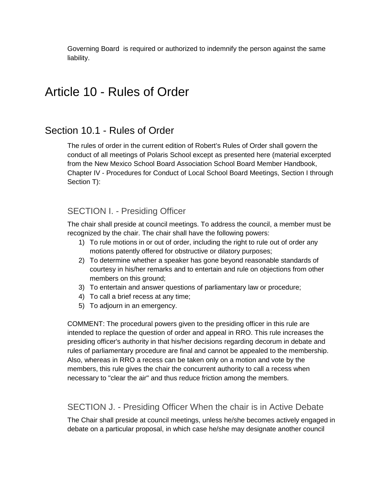Governing Board is required or authorized to indemnify the person against the same liability.

## Article 10 - Rules of Order

## Section 10.1 - Rules of Order

The rules of order in the current edition of Robert's Rules of Order shall govern the conduct of all meetings of Polaris School except as presented here (material excerpted from the New Mexico School Board Association School Board Member Handbook, Chapter IV - Procedures for Conduct of Local School Board Meetings, Section I through Section T):

### SECTION I. - Presiding Officer

The chair shall preside at council meetings. To address the council, a member must be recognized by the chair. The chair shall have the following powers:

- 1) To rule motions in or out of order, including the right to rule out of order any motions patently offered for obstructive or dilatory purposes;
- 2) To determine whether a speaker has gone beyond reasonable standards of courtesy in his/her remarks and to entertain and rule on objections from other members on this ground;
- 3) To entertain and answer questions of parliamentary law or procedure;
- 4) To call a brief recess at any time;
- 5) To adjourn in an emergency.

COMMENT: The procedural powers given to the presiding officer in this rule are intended to replace the question of order and appeal in RRO. This rule increases the presiding officer's authority in that his/her decisions regarding decorum in debate and rules of parliamentary procedure are final and cannot be appealed to the membership. Also, whereas in RRO a recess can be taken only on a motion and vote by the members, this rule gives the chair the concurrent authority to call a recess when necessary to "clear the air" and thus reduce friction among the members.

### SECTION J. - Presiding Officer When the chair is in Active Debate

The Chair shall preside at council meetings, unless he/she becomes actively engaged in debate on a particular proposal, in which case he/she may designate another council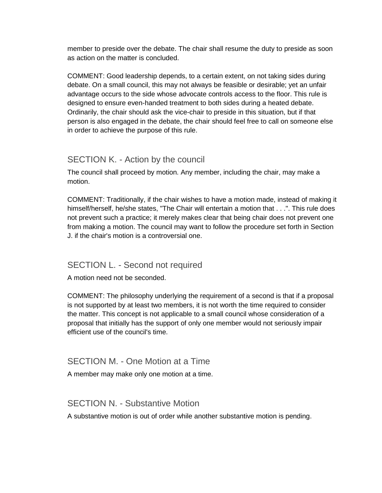member to preside over the debate. The chair shall resume the duty to preside as soon as action on the matter is concluded.

COMMENT: Good leadership depends, to a certain extent, on not taking sides during debate. On a small council, this may not always be feasible or desirable; yet an unfair advantage occurs to the side whose advocate controls access to the floor. This rule is designed to ensure even-handed treatment to both sides during a heated debate. Ordinarily, the chair should ask the vice-chair to preside in this situation, but if that person is also engaged in the debate, the chair should feel free to call on someone else in order to achieve the purpose of this rule.

### SECTION K. - Action by the council

The council shall proceed by motion. Any member, including the chair, may make a motion.

COMMENT: Traditionally, if the chair wishes to have a motion made, instead of making it himself/herself, he/she states, "The Chair will entertain a motion that . . .". This rule does not prevent such a practice; it merely makes clear that being chair does not prevent one from making a motion. The council may want to follow the procedure set forth in Section J. if the chair's motion is a controversial one.

### SECTION L. - Second not required

A motion need not be seconded.

COMMENT: The philosophy underlying the requirement of a second is that if a proposal is not supported by at least two members, it is not worth the time required to consider the matter. This concept is not applicable to a small council whose consideration of a proposal that initially has the support of only one member would not seriously impair efficient use of the council's time.

### SECTION M. - One Motion at a Time

A member may make only one motion at a time.

### SECTION N. - Substantive Motion

A substantive motion is out of order while another substantive motion is pending.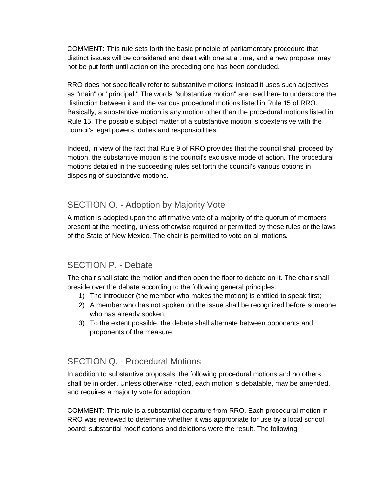COMMENT: This rule sets forth the basic principle of parliamentary procedure that distinct issues will be considered and dealt with one at a time, and a new proposal may not be put forth until action on the preceding one has been concluded.

RRO does not specifically refer to substantive motions; instead it uses such adjectives as "main" or "principal." The words "substantive motion" are used here to underscore the distinction between it and the various procedural motions listed in Rule 15 of RRO. Basically, a substantive motion is any motion other than the procedural motions listed in Rule 15. The possible subject matter of a substantive motion is coextensive with the council's legal powers, duties and responsibilities.

Indeed, in view of the fact that Rule 9 of RRO provides that the council shall proceed by motion, the substantive motion is the council's exclusive mode of action. The procedural motions detailed in the succeeding rules set forth the council's various options in disposing of substantive motions.

## SECTION O. - Adoption by Majority Vote

A motion is adopted upon the affirmative vote of a majority of the quorum of members present at the meeting, unless otherwise required or permitted by these rules or the laws of the State of New Mexico. The chair is permitted to vote on all motions.

## SECTION P - Debate

The chair shall state the motion and then open the floor to debate on it. The chair shall preside over the debate according to the following general principles:

- 1) The introducer (the member who makes the motion) is entitled to speak first;
- 2) A member who has not spoken on the issue shall be recognized before someone who has already spoken;
- 3) To the extent possible, the debate shall alternate between opponents and proponents of the measure.

## SECTION Q. - Procedural Motions

In addition to substantive proposals, the following procedural motions and no others shall be in order. Unless otherwise noted, each motion is debatable, may be amended, and requires a majority vote for adoption.

COMMENT: This rule is a substantial departure from RRO. Each procedural motion in RRO was reviewed to determine whether it was appropriate for use by a local school board; substantial modifications and deletions were the result. The following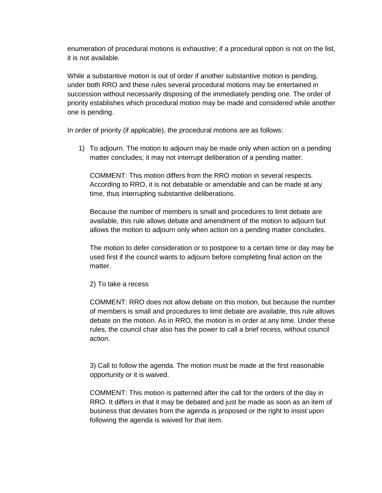enumeration of procedural motions is exhaustive; if a procedural option is not on the list, it is not available.

While a substantive motion is out of order if another substantive motion is pending, under both RRO and these rules several procedural motions may be entertained in succession without necessarily disposing of the immediately pending one. The order of priority establishes which procedural motion may be made and considered while another one is pending.

In order of priority (if applicable), the procedural motions are as follows:

1) To adjourn. The motion to adjourn may be made only when action on a pending matter concludes; it may not interrupt deliberation of a pending matter.

COMMENT: This motion differs from the RRO motion in several respects. According to RRO, it is not debatable or amendable and can be made at any time, thus interrupting substantive deliberations.

Because the number of members is small and procedures to limit debate are available, this rule allows debate and amendment of the motion to adjourn but allows the motion to adjourn only when action on a pending matter concludes.

The motion to defer consideration or to postpone to a certain time or day may be used first if the council wants to adjourn before completing final action on the matter.

2) To take a recess

COMMENT: RRO does not allow debate on this motion, but because the number of members is small and procedures to limit debate are available, this rule allows debate on the motion. As in RRO, the motion is in order at any time. Under these rules, the council chair also has the power to call a brief recess, without council action.

3) Call to follow the agenda. The motion must be made at the first reasonable opportunity or it is waived.

COMMENT: This motion is patterned after the call for the orders of the day in RRO. It differs in that it may be debated and just be made as soon as an item of business that deviates from the agenda is proposed or the right to insist upon following the agenda is waived for that item.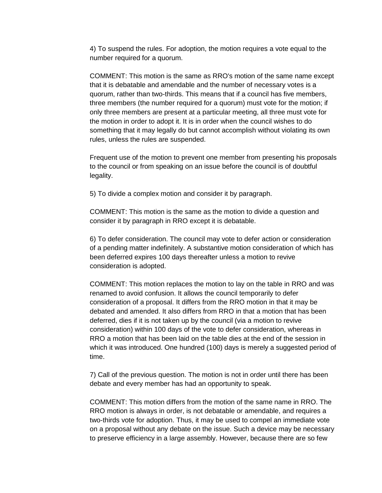4) To suspend the rules. For adoption, the motion requires a vote equal to the number required for a quorum.

COMMENT: This motion is the same as RRO's motion of the same name except that it is debatable and amendable and the number of necessary votes is a quorum, rather than two-thirds. This means that if a council has five members, three members (the number required for a quorum) must vote for the motion; if only three members are present at a particular meeting, all three must vote for the motion in order to adopt it. It is in order when the council wishes to do something that it may legally do but cannot accomplish without violating its own rules, unless the rules are suspended.

Frequent use of the motion to prevent one member from presenting his proposals to the council or from speaking on an issue before the council is of doubtful legality.

5) To divide a complex motion and consider it by paragraph.

COMMENT: This motion is the same as the motion to divide a question and consider it by paragraph in RRO except it is debatable.

6) To defer consideration. The council may vote to defer action or consideration of a pending matter indefinitely. A substantive motion consideration of which has been deferred expires 100 days thereafter unless a motion to revive consideration is adopted.

COMMENT: This motion replaces the motion to lay on the table in RRO and was renamed to avoid confusion. It allows the council temporarily to defer consideration of a proposal. It differs from the RRO motion in that it may be debated and amended. It also differs from RRO in that a motion that has been deferred, dies if it is not taken up by the council (via a motion to revive consideration) within 100 days of the vote to defer consideration, whereas in RRO a motion that has been laid on the table dies at the end of the session in which it was introduced. One hundred (100) days is merely a suggested period of time.

7) Call of the previous question. The motion is not in order until there has been debate and every member has had an opportunity to speak.

COMMENT: This motion differs from the motion of the same name in RRO. The RRO motion is always in order, is not debatable or amendable, and requires a two-thirds vote for adoption. Thus, it may be used to compel an immediate vote on a proposal without any debate on the issue. Such a device may be necessary to preserve efficiency in a large assembly. However, because there are so few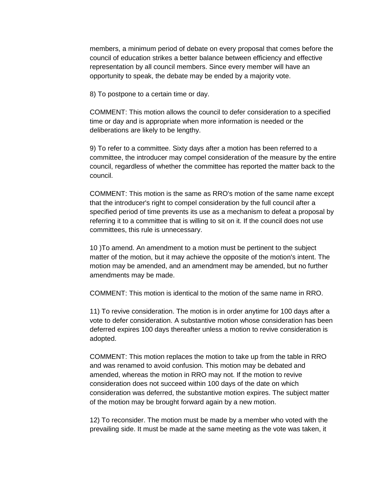members, a minimum period of debate on every proposal that comes before the council of education strikes a better balance between efficiency and effective representation by all council members. Since every member will have an opportunity to speak, the debate may be ended by a majority vote.

8) To postpone to a certain time or day.

COMMENT: This motion allows the council to defer consideration to a specified time or day and is appropriate when more information is needed or the deliberations are likely to be lengthy.

9) To refer to a committee. Sixty days after a motion has been referred to a committee, the introducer may compel consideration of the measure by the entire council, regardless of whether the committee has reported the matter back to the council.

COMMENT: This motion is the same as RRO's motion of the same name except that the introducer's right to compel consideration by the full council after a specified period of time prevents its use as a mechanism to defeat a proposal by referring it to a committee that is willing to sit on it. If the council does not use committees, this rule is unnecessary.

10 )To amend. An amendment to a motion must be pertinent to the subject matter of the motion, but it may achieve the opposite of the motion's intent. The motion may be amended, and an amendment may be amended, but no further amendments may be made.

COMMENT: This motion is identical to the motion of the same name in RRO.

11) To revive consideration. The motion is in order anytime for 100 days after a vote to defer consideration. A substantive motion whose consideration has been deferred expires 100 days thereafter unless a motion to revive consideration is adopted.

COMMENT: This motion replaces the motion to take up from the table in RRO and was renamed to avoid confusion. This motion may be debated and amended, whereas the motion in RRO may not. If the motion to revive consideration does not succeed within 100 days of the date on which consideration was deferred, the substantive motion expires. The subject matter of the motion may be brought forward again by a new motion.

12) To reconsider. The motion must be made by a member who voted with the prevailing side. It must be made at the same meeting as the vote was taken, it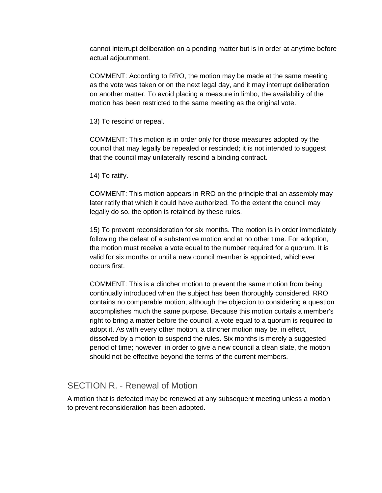cannot interrupt deliberation on a pending matter but is in order at anytime before actual adjournment.

COMMENT: According to RRO, the motion may be made at the same meeting as the vote was taken or on the next legal day, and it may interrupt deliberation on another matter. To avoid placing a measure in limbo, the availability of the motion has been restricted to the same meeting as the original vote.

13) To rescind or repeal.

COMMENT: This motion is in order only for those measures adopted by the council that may legally be repealed or rescinded; it is not intended to suggest that the council may unilaterally rescind a binding contract.

14) To ratify.

COMMENT: This motion appears in RRO on the principle that an assembly may later ratify that which it could have authorized. To the extent the council may legally do so, the option is retained by these rules.

15) To prevent reconsideration for six months. The motion is in order immediately following the defeat of a substantive motion and at no other time. For adoption, the motion must receive a vote equal to the number required for a quorum. It is valid for six months or until a new council member is appointed, whichever occurs first.

COMMENT: This is a clincher motion to prevent the same motion from being continually introduced when the subject has been thoroughly considered. RRO contains no comparable motion, although the objection to considering a question accomplishes much the same purpose. Because this motion curtails a member's right to bring a matter before the council, a vote equal to a quorum is required to adopt it. As with every other motion, a clincher motion may be, in effect, dissolved by a motion to suspend the rules. Six months is merely a suggested period of time; however, in order to give a new council a clean slate, the motion should not be effective beyond the terms of the current members.

### SECTION R. - Renewal of Motion

A motion that is defeated may be renewed at any subsequent meeting unless a motion to prevent reconsideration has been adopted.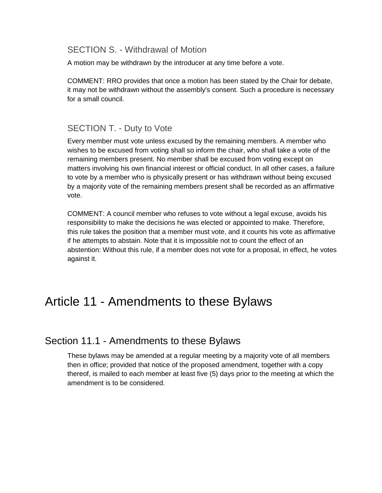### SECTION S. - Withdrawal of Motion

A motion may be withdrawn by the introducer at any time before a vote.

COMMENT: RRO provides that once a motion has been stated by the Chair for debate, it may not be withdrawn without the assembly's consent. Such a procedure is necessary for a small council.

### SECTION T. - Duty to Vote

Every member must vote unless excused by the remaining members. A member who wishes to be excused from voting shall so inform the chair, who shall take a vote of the remaining members present. No member shall be excused from voting except on matters involving his own financial interest or official conduct. In all other cases, a failure to vote by a member who is physically present or has withdrawn without being excused by a majority vote of the remaining members present shall be recorded as an affirmative vote.

COMMENT: A council member who refuses to vote without a legal excuse, avoids his responsibility to make the decisions he was elected or appointed to make. Therefore, this rule takes the position that a member must vote, and it counts his vote as affirmative if he attempts to abstain. Note that it is impossible not to count the effect of an abstention: Without this rule, if a member does not vote for a proposal, in effect, he votes against it.

## Article 11 - Amendments to these Bylaws

## Section 11.1 - Amendments to these Bylaws

These bylaws may be amended at a regular meeting by a majority vote of all members then in office; provided that notice of the proposed amendment, together with a copy thereof, is mailed to each member at least five (5) days prior to the meeting at which the amendment is to be considered.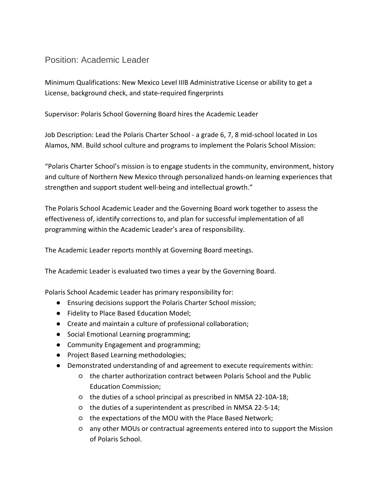### Position: Academic Leader

Minimum Qualifications: New Mexico Level IIIB Administrative License or ability to get a License, background check, and state-required fingerprints

Supervisor: Polaris School Governing Board hires the Academic Leader

Job Description: Lead the Polaris Charter School - a grade 6, 7, 8 mid-school located in Los Alamos, NM. Build school culture and programs to implement the Polaris School Mission:

"Polaris Charter School's mission is to engage students in the community, environment, history and culture of Northern New Mexico through personalized hands-on learning experiences that strengthen and support student well-being and intellectual growth."

The Polaris School Academic Leader and the Governing Board work together to assess the effectiveness of, identify corrections to, and plan for successful implementation of all programming within the Academic Leader's area of responsibility.

The Academic Leader reports monthly at Governing Board meetings.

The Academic Leader is evaluated two times a year by the Governing Board.

Polaris School Academic Leader has primary responsibility for:

- Ensuring decisions support the Polaris Charter School mission;
- Fidelity to Place Based Education Model;
- Create and maintain a culture of professional collaboration;
- Social Emotional Learning programming;
- Community Engagement and programming;
- Project Based Learning methodologies;
- Demonstrated understanding of and agreement to execute requirements within:
	- the charter authorization contract between Polaris School and the Public Education Commission;
	- the duties of a school principal as prescribed in NMSA 22-10A-18;
	- the duties of a superintendent as prescribed in NMSA 22-5-14;
	- the expectations of the MOU with the Place Based Network;
	- any other MOUs or contractual agreements entered into to support the Mission of Polaris School.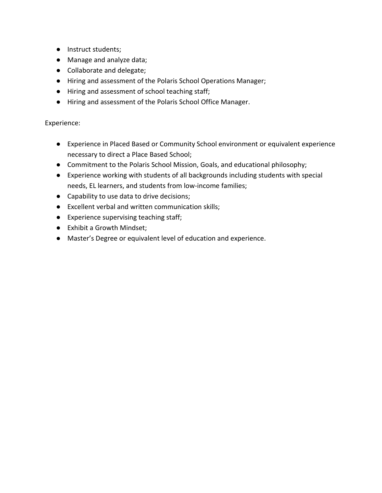- Instruct students;
- Manage and analyze data;
- Collaborate and delegate;
- Hiring and assessment of the Polaris School Operations Manager;
- Hiring and assessment of school teaching staff;
- Hiring and assessment of the Polaris School Office Manager.

- Experience in Placed Based or Community School environment or equivalent experience necessary to direct a Place Based School;
- Commitment to the Polaris School Mission, Goals, and educational philosophy;
- Experience working with students of all backgrounds including students with special needs, EL learners, and students from low-income families;
- Capability to use data to drive decisions;
- Excellent verbal and written communication skills;
- Experience supervising teaching staff;
- Exhibit a Growth Mindset;
- Master's Degree or equivalent level of education and experience.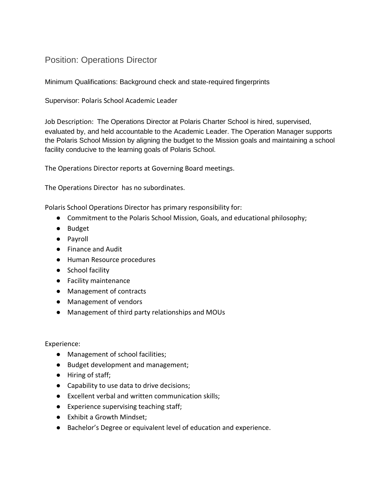### Position: Operations Director

Minimum Qualifications: Background check and state-required fingerprints

Supervisor: Polaris School Academic Leader

Job Description: The Operations Director at Polaris Charter School is hired, supervised, evaluated by, and held accountable to the Academic Leader. The Operation Manager supports the Polaris School Mission by aligning the budget to the Mission goals and maintaining a school facility conducive to the learning goals of Polaris School.

The Operations Director reports at Governing Board meetings.

The Operations Director has no subordinates.

Polaris School Operations Director has primary responsibility for:

- Commitment to the Polaris School Mission, Goals, and educational philosophy;
- Budget
- Payroll
- Finance and Audit
- Human Resource procedures
- School facility
- Facility maintenance
- Management of contracts
- Management of vendors
- Management of third party relationships and MOUs

- Management of school facilities;
- Budget development and management;
- Hiring of staff;
- Capability to use data to drive decisions;
- Excellent verbal and written communication skills;
- Experience supervising teaching staff;
- Exhibit a Growth Mindset;
- Bachelor's Degree or equivalent level of education and experience.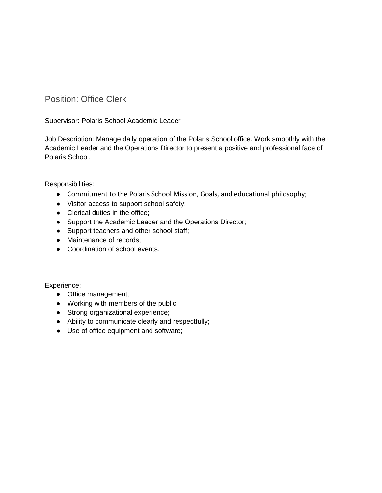Position: Office Clerk

Supervisor: Polaris School Academic Leader

Job Description: Manage daily operation of the Polaris School office. Work smoothly with the Academic Leader and the Operations Director to present a positive and professional face of Polaris School.

Responsibilities:

- Commitment to the Polaris School Mission, Goals, and educational philosophy;
- Visitor access to support school safety;
- Clerical duties in the office;
- Support the Academic Leader and the Operations Director;
- Support teachers and other school staff;
- Maintenance of records;
- Coordination of school events.

- Office management;
- Working with members of the public;
- Strong organizational experience;
- Ability to communicate clearly and respectfully;
- Use of office equipment and software;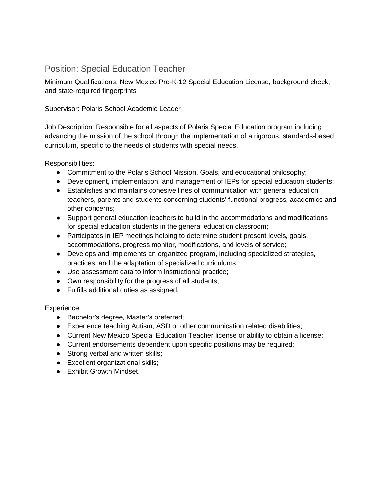## Position: Special Education Teacher

Minimum Qualifications: New Mexico Pre-K-12 Special Education License, background check, and state-required fingerprints

### Supervisor: Polaris School Academic Leader

Job Description: Responsible for all aspects of Polaris Special Education program including advancing the mission of the school through the implementation of a rigorous, standards-based curriculum, specific to the needs of students with special needs.

Responsibilities:

- Commitment to the Polaris School Mission, Goals, and educational philosophy;
- Development, implementation, and management of IEPs for special education students;
- Establishes and maintains cohesive lines of communication with general education teachers, parents and students concerning students' functional progress, academics and other concerns;
- Support general education teachers to build in the accommodations and modifications for special education students in the general education classroom;
- Participates in IEP meetings helping to determine student present levels, goals, accommodations, progress monitor, modifications, and levels of service;
- Develops and implements an organized program, including specialized strategies, practices, and the adaptation of specialized curriculums;
- Use assessment data to inform instructional practice;
- Own responsibility for the progress of all students;
- Fulfills additional duties as assigned.

- Bachelor's degree, Master's preferred;
- Experience teaching Autism, ASD or other communication related disabilities;
- Current New Mexico Special Education Teacher license or ability to obtain a license;
- Current endorsements dependent upon specific positions may be required;
- Strong verbal and written skills;
- Excellent organizational skills;
- Exhibit Growth Mindset.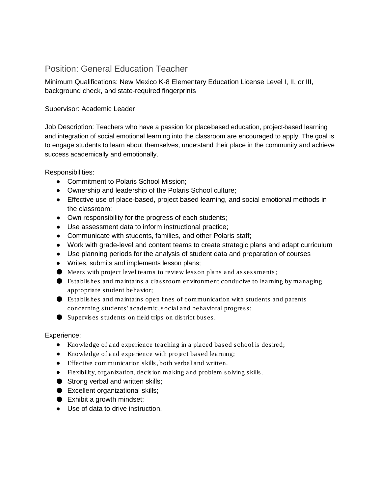## Position: General Education Teacher

Minimum Qualifications: New Mexico K-8 Elementary Education License Level I, II, or III, background check, and state-required fingerprints

### Supervisor: Academic Leader

Job Description: Teachers who have a passion for place-based education, project-based learning and integration of social emotional learning into the classroom are encouraged to apply. The goal is to engage students to learn about themselves, understand their place in the community and achieve success academically and emotionally.

Responsibilities:

- Commitment to Polaris School Mission;
- Ownership and leadership of the Polaris School culture;
- Effective use of place-based, project based learning, and social emotional methods in the classroom;
- Own responsibility for the progress of each students;
- Use assessment data to inform instructional practice;
- Communicate with students, families, and other Polaris staff;
- Work with grade-level and content teams to create strategic plans and adapt curriculum
- Use planning periods for the analysis of student data and preparation of courses
- Writes, submits and implements lesson plans;
- Meets with project level teams to review lesson plans and assessments;
- Establishes and maintains a classroom environment conducive to learning by managing appropriate student behavior;
- Establishes and maintains open lines of communication with students and parents concerning students' academic, social and behavioral progress;
- Supervises students on field trips on district buses.

- Knowledge of and experience teaching in a placed based school is desired;
- Knowledge of and experience with project based learning;
- Effective communication skills, both verbal and written.
- Flexibility, organization, decision making and problem solving skills.
- Strong verbal and written skills;
- Excellent organizational skills;
- $\bullet$  Exhibit a growth mindset;
- Use of data to drive instruction.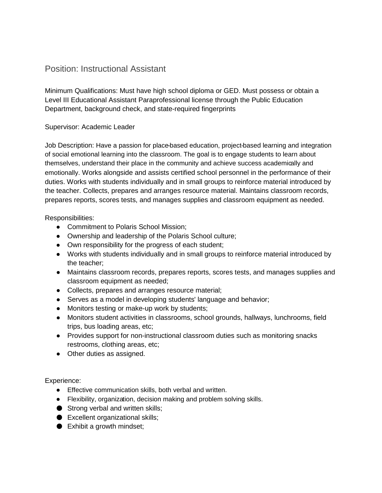### Position: Instructional Assistant

Minimum Qualifications: Must have high school diploma or GED. Must possess or obtain a Level III Educational Assistant Paraprofessional license through the Public Education Department, background check, and state-required fingerprints

### Supervisor: Academic Leader

Job Description: Have a passion for place-based education, project-based learning and integration of social emotional learning into the classroom. The goal is to engage students to learn about themselves, understand their place in the community and achieve success academically and emotionally. Works alongside and assists certified school personnel in the performance of their duties. Works with students individually and in small groups to reinforce material introduced by the teacher. Collects, prepares and arranges resource material. Maintains classroom records, prepares reports, scores tests, and manages supplies and classroom equipment as needed.

Responsibilities:

- Commitment to Polaris School Mission;
- Ownership and leadership of the Polaris School culture;
- Own responsibility for the progress of each student;
- Works with students individually and in small groups to reinforce material introduced by the teacher;
- Maintains classroom records, prepares reports, scores tests, and manages supplies and classroom equipment as needed;
- Collects, prepares and arranges resource material;
- Serves as a model in developing students' language and behavior;
- Monitors testing or make-up work by students;
- Monitors student activities in classrooms, school grounds, hallways, lunchrooms, field trips, bus loading areas, etc;
- Provides support for non-instructional classroom duties such as monitoring snacks restrooms, clothing areas, etc;
- Other duties as assigned.

- Effective communication skills, both verbal and written.
- Flexibility, organization, decision making and problem solving skills.
- Strong verbal and written skills;
- Excellent organizational skills;
- Exhibit a growth mindset;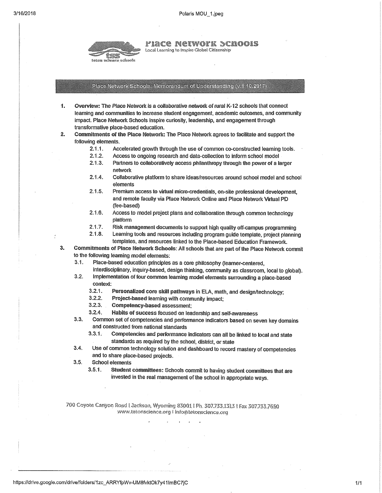

Piace Network Schools

Local Learning to Inspire Global Citizenship

#### Place Network Schools: Memorandum of Understanding (v.1 10.2017)

- 1. Overview: The Place Network is a collaborative network of rural K-12 schools that connect learning and communities to increase student engagement, academic outcomes, and community impact. Place Network Schools inspire curiosity, leadership, and engagement through transformative place-based education.
- $\overline{2}$ . Commitments of the Place Network: The Place Network agrees to facilitate and support the following elements.
	- $2.1.1.$ Accelerated growth through the use of common co-constructed learning tools.
	- $2.1.2.$ Access to ongoing research and data-collection to inform school model
	- $2.1.3.$ Partners to collaboratively access philanthropy through the power of a larger network
	- $2.1.4.$ Collaborative platform to share ideas/resources around school model and school elements
	- $2.1.5.$ Premium access to virtual micro-credentials, on-site professional development, and remote faculty via Place Network Online and Place Network Virtual PD (fee-based)
	- $2.1.6.$ Access to model project plans and collaboration through common technology platform
	- $2.1.7.$ Risk management documents to support high quality off-campus programming
	- Learning tools and resources including program guide template, project planning  $2.1.8.$ templates, and resources linked to the Place-based Education Framework.
- Commitments of Place Network Schools: All schools that are part of the Place Network commit 3. to the following learning model elements:
	- $3.1.$ Place-based education principles as a core philosophy (learner-centered,
	- interdisciplinary, inquiry-based, design thinking, community as classroom, local to global). Implementation of four common learning model elements surrounding a place-based  $3.2.$ 
		- context:
			- $3.2.1.$ Personalized core skill pathways in ELA, math, and design/technology;
			- $3.2.2.$ Project-based learning with community impact;
			- $3.2.3.$ Competency-based assessment:
			- Habits of success focused on leadership and self-awareness  $3.2.4.$
	- $3.3.$ Common set of competencies and performance indicators based on seven key domains and constructed from national standards
		- $3.3.1.$ Competencies and performance indicators can all be linked to local and state standards as required by the school, district, or state
	- Use of common technology solution and dashboard to record mastery of competencies  $3.4.$ and to share place-based projects.
	- $3.5.$ **School elements** 
		- $3.5.1.$ Student committees: Schools commit to having student committees that are invested in the real management of the school in appropriate ways.

700 Coyote Canyon Road I Jackson, Wyoming 83001 | Ph. 307.733.1313 | Fax 307.733.7650 www.tetonscience.org I info@tetonscience.org

 $1/1$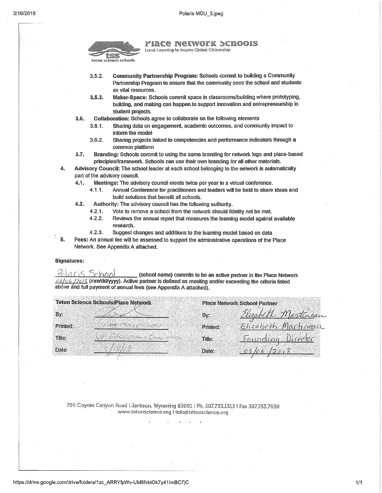

#### PIACE NETWOTK SCHOOIS

Local Learning to Insoire Global Citizenship

- $3.5.2.$ Community Partnership Program: Schools commit to building a Community Partnership Program to ensure that the community sees the school and students as vital resources.
- $3.5.3.$ Maker-Space: Schools commit space in classrooms/building where prototyping, building, and making can happen to support innovation and entrepreneurship in student projects.
- $3.6.$ Collaboration: Schools agree to collaborate on the following elements
	- $3.6.1.$ Sharing data on engagement, academic outcomes, and community impact to inform the model
	- $3.6.2.$ Sharing projects linked to competencies and performance indicators through a common platform
- $3.7.$ Branding: Schools commit to using the same branding for network logo and place-based principles/framework. Schools can use their own branding for all other materials.
- 4. Advisory Council: The school leader at each school belonging to the network is automatically part of the advisory council.
	- Meetings: The advisory council meets twice per year in a virtual conference. 4.1.
		- Annual Conference for practitioners and leaders will be held to share ideas and  $4.1.1$ build solutions that benefit all schools.
	- $4.2.$ Authority: The advisory council has the following authority.
		- $4.2.1.$ Vote to remove a school from the network should fidelity not be met.
		- $4.2.2.$ Reviews the annual report that measures the learning model against available research
		- $4.2.3.$ Suggest changes and additions to the learning model based on data
- -5. Fees: An annual fee will be assessed to support the administrative operations of the Place Network. See Appendix A attached.

#### **Signatures:**

Polaris School (school name) commits to be an active partner in the Place Network  $\frac{03}{06}$ / $\frac{2015}{0}$  (mm/dd/yyyy). Active partner is defined as meeting and/or exceeding the criteria listed above and full payment of annual fees (see Appendix A attached).

| <b>Teton Science Schools/Place Network</b>                                                                               |          | <b>Place Network School Partner</b>                      |  |
|--------------------------------------------------------------------------------------------------------------------------|----------|----------------------------------------------------------|--|
| Bv.                                                                                                                      | By:      | <u>Elizabeth Martingan</u><br><u>Elizabeth Machre</u> au |  |
| Printed:                                                                                                                 | Printed: |                                                          |  |
| a da kasaya na matsayin na matsayin na matsayin na matsayin na matsayin na matsayin na matsayin na matsayin na<br>Title: | Title:   | <u>Founding Director</u>                                 |  |
| Date:                                                                                                                    | Date:    | <u>03/06/2018</u>                                        |  |

700 Coyote Canyon Road LJackson, Wyoming 83001 | Ph. 307.733.1313 | Fax 307.733.7650 www.tetonscience.org I info@tetonscience.org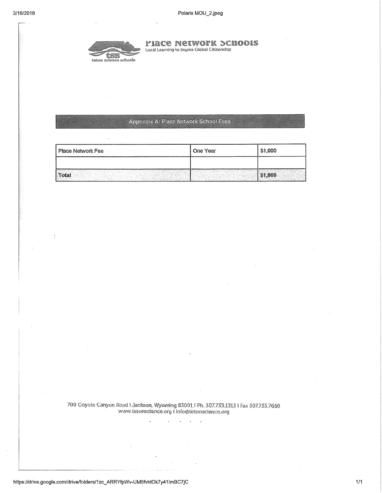

**FIACE NETWOTK SCHOOLS** Local Learning to Inspire Global Citizenship

### **Appendix A: Place Network School Fees**

| Place Network Fee | One Year | \$1,000 |
|-------------------|----------|---------|
|                   |          |         |
| Total             |          |         |

700 Coyote Canyon Road | Jackson, Wyoming 83001 | Ph. 307.733.1313 | Fax 307.733.7650 www.tetonscience.org I info@tetonscience.org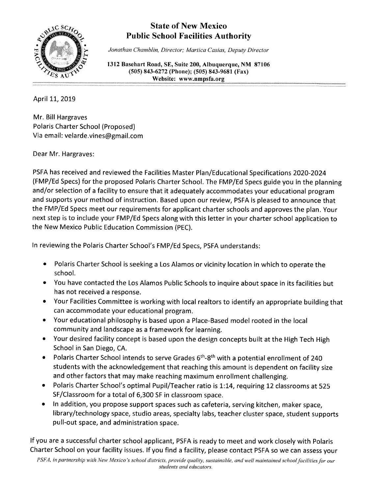

## **State of New Mexico Public School Facilities Authority**

Jonathan Chamblin, Director; Martica Casias, Deputy Director

1312 Basehart Road, SE, Suite 200, Albuquerque, NM 87106 (505) 843-6272 (Phone); (505) 843-9681 (Fax) Website: www.nmpsfa.org

April 11, 2019

Mr. Bill Hargraves Polaris Charter School (Proposed) Via email: velarde.vines@gmail.com

Dear Mr. Hargraves:

PSFA has received and reviewed the Facilities Master Plan/Educational Specifications 2020-2024 (FMP/Ed Specs) for the proposed Polaris Charter School. The FMP/Ed Specs guide you in the planning and/or selection of a facility to ensure that it adequately accommodates your educational program and supports your method of instruction. Based upon our review, PSFA is pleased to announce that the FMP/Ed Specs meet our requirements for applicant charter schools and approves the plan. Your next step is to include your FMP/Ed Specs along with this letter in your charter school application to the New Mexico Public Education Commission (PEC).

In reviewing the Polaris Charter School's FMP/Ed Specs, PSFA understands:

- Polaris Charter School is seeking a Los Alamos or vicinity location in which to operate the  $\bullet$ school.
- You have contacted the Los Alamos Public Schools to inquire about space in its facilities but has not received a response.
- Your Facilities Committee is working with local realtors to identify an appropriate building that  $\bullet$ can accommodate your educational program.
- Your educational philosophy is based upon a Place-Based model rooted in the local community and landscape as a framework for learning.
- Your desired facility concept is based upon the design concepts built at the High Tech High School in San Diego, CA.
- Polaris Charter School intends to serve Grades 6<sup>th</sup>-8<sup>th</sup> with a potential enrollment of 240  $\bullet$ students with the acknowledgement that reaching this amount is dependent on facility size and other factors that may make reaching maximum enrollment challenging.
- Polaris Charter School's optimal Pupil/Teacher ratio is 1:14, requiring 12 classrooms at 525 SF/Classroom for a total of 6,300 SF in classroom space.
- In addition, you propose support spaces such as cafeteria, serving kitchen, maker space,  $\bullet$ library/technology space, studio areas, specialty labs, teacher cluster space, student supports pull-out space, and administration space.

If you are a successful charter school applicant, PSFA is ready to meet and work closely with Polaris Charter School on your facility issues. If you find a facility, please contact PSFA so we can assess your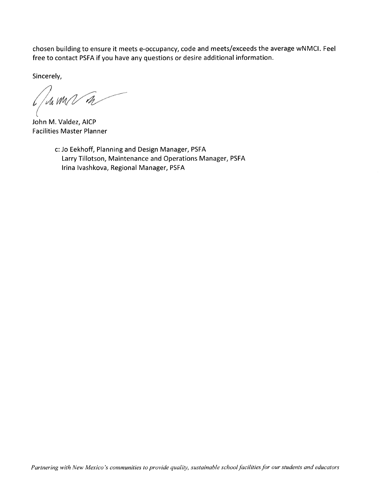chosen building to ensure it meets e-occupancy, code and meets/exceeds the average wNMCI. Feel free to contact PSFA if you have any questions or desire additional information.

Sincerely,

 $1/u$  m  $\sqrt{n}$ 

John M. Valdez, AICP **Facilities Master Planner** 

c: Jo Eekhoff, Planning and Design Manager, PSFA Larry Tillotson, Maintenance and Operations Manager, PSFA Irina Ivashkova, Regional Manager, PSFA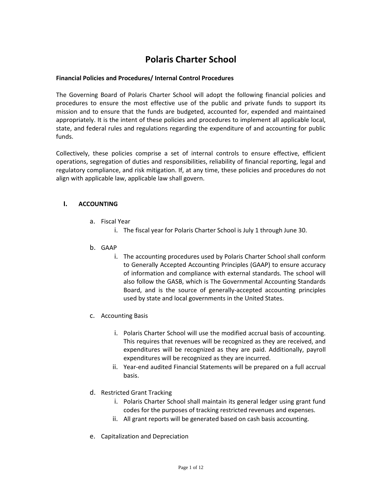## **Polaris Charter School**

#### **Financial Policies and Procedures/ Internal Control Procedures**

The Governing Board of Polaris Charter School will adopt the following financial policies and procedures to ensure the most effective use of the public and private funds to support its mission and to ensure that the funds are budgeted, accounted for, expended and maintained appropriately. It is the intent of these policies and procedures to implement all applicable local, state, and federal rules and regulations regarding the expenditure of and accounting for public funds.

Collectively, these policies comprise a set of internal controls to ensure effective, efficient operations, segregation of duties and responsibilities, reliability of financial reporting, legal and regulatory compliance, and risk mitigation. If, at any time, these policies and procedures do not align with applicable law, applicable law shall govern.

#### **I. ACCOUNTING**

- a. Fiscal Year
	- i. The fiscal year for Polaris Charter School is July 1 through June 30.
- b. GAAP
	- i. The accounting procedures used by Polaris Charter School shall conform to Generally Accepted Accounting Principles (GAAP) to ensure accuracy of information and compliance with external standards. The school will also follow the GASB, which is The Governmental Accounting Standards Board, and is the source of generally-accepted accounting principles used by state and local governments in the United States.
- c. Accounting Basis
	- i. Polaris Charter School will use the modified accrual basis of accounting. This requires that revenues will be recognized as they are received, and expenditures will be recognized as they are paid. Additionally, payroll expenditures will be recognized as they are incurred.
	- ii. Year-end audited Financial Statements will be prepared on a full accrual basis.
- d. Restricted Grant Tracking
	- i. Polaris Charter School shall maintain its general ledger using grant fund codes for the purposes of tracking restricted revenues and expenses.
	- ii. All grant reports will be generated based on cash basis accounting.
- e. Capitalization and Depreciation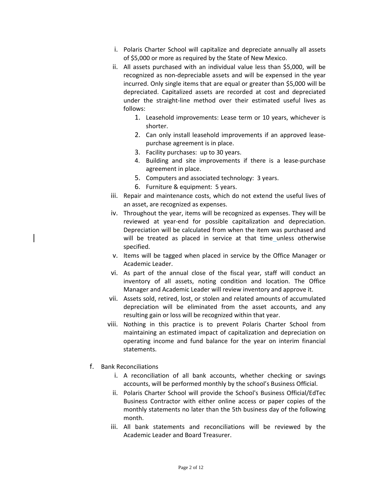- i. Polaris Charter School will capitalize and depreciate annually all assets of \$5,000 or more as required by the State of New Mexico.
- ii. All assets purchased with an individual value less than \$5,000, will be recognized as non-depreciable assets and will be expensed in the year incurred. Only single items that are equal or greater than \$5,000 will be depreciated. Capitalized assets are recorded at cost and depreciated under the straight-line method over their estimated useful lives as follows:
	- 1. Leasehold improvements: Lease term or 10 years, whichever is shorter.
	- 2. Can only install leasehold improvements if an approved leasepurchase agreement is in place.
	- 3. Facility purchases: up to 30 years.
	- 4. Building and site improvements if there is a lease-purchase agreement in place.
	- 5. Computers and associated technology: 3 years.
	- 6. Furniture & equipment: 5 years.
- iii. Repair and maintenance costs, which do not extend the useful lives of an asset, are recognized as expenses.
- iv. Throughout the year, items will be recognized as expenses. They will be reviewed at year-end for possible capitalization and depreciation. Depreciation will be calculated from when the item was purchased and will be treated as placed in service at that time unless otherwise specified.
- v. Items will be tagged when placed in service by the Office Manager or Academic Leader.
- vi. As part of the annual close of the fiscal year, staff will conduct an inventory of all assets, noting condition and location. The Office Manager and Academic Leader will review inventory and approve it.
- vii. Assets sold, retired, lost, or stolen and related amounts of accumulated depreciation will be eliminated from the asset accounts, and any resulting gain or loss will be recognized within that year.
- viii. Nothing in this practice is to prevent Polaris Charter School from maintaining an estimated impact of capitalization and depreciation on operating income and fund balance for the year on interim financial statements.
- f. Bank Reconciliations
	- i. A reconciliation of all bank accounts, whether checking or savings accounts, will be performed monthly by the school's Business Official.
	- ii. Polaris Charter School will provide the School's Business Official/EdTec Business Contractor with either online access or paper copies of the monthly statements no later than the 5th business day of the following month.
	- iii. All bank statements and reconciliations will be reviewed by the Academic Leader and Board Treasurer.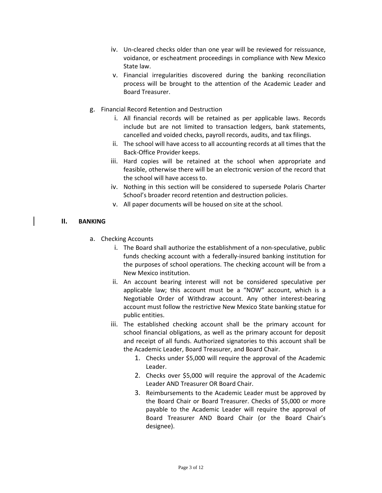- iv. Un-cleared checks older than one year will be reviewed for reissuance, voidance, or escheatment proceedings in compliance with New Mexico State law.
- v. Financial irregularities discovered during the banking reconciliation process will be brought to the attention of the Academic Leader and Board Treasurer.
- g. Financial Record Retention and Destruction
	- i. All financial records will be retained as per applicable laws. Records include but are not limited to transaction ledgers, bank statements, cancelled and voided checks, payroll records, audits, and tax filings.
	- ii. The school will have access to all accounting records at all times that the Back-Office Provider keeps.
	- iii. Hard copies will be retained at the school when appropriate and feasible, otherwise there will be an electronic version of the record that the school will have access to.
	- iv. Nothing in this section will be considered to supersede Polaris Charter School's broader record retention and destruction policies.
	- v. All paper documents will be housed on site at the school.

#### **II. BANKING**

- a. Checking Accounts
	- i. The Board shall authorize the establishment of a non-speculative, public funds checking account with a federally-insured banking institution for the purposes of school operations. The checking account will be from a New Mexico institution.
	- ii. An account bearing interest will not be considered speculative per applicable law; this account must be a "NOW" account, which is a Negotiable Order of Withdraw account. Any other interest-bearing account must follow the restrictive New Mexico State banking statue for public entities.
	- iii. The established checking account shall be the primary account for school financial obligations, as well as the primary account for deposit and receipt of all funds. Authorized signatories to this account shall be the Academic Leader, Board Treasurer, and Board Chair.
		- 1. Checks under \$5,000 will require the approval of the Academic Leader.
		- 2. Checks over \$5,000 will require the approval of the Academic Leader AND Treasurer OR Board Chair.
		- 3. Reimbursements to the Academic Leader must be approved by the Board Chair or Board Treasurer. Checks of \$5,000 or more payable to the Academic Leader will require the approval of Board Treasurer AND Board Chair (or the Board Chair's designee).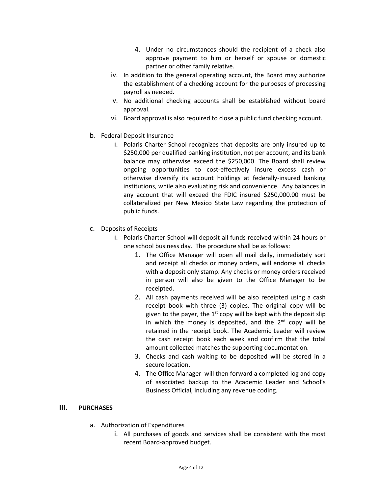- 4. Under no circumstances should the recipient of a check also approve payment to him or herself or spouse or domestic partner or other family relative.
- iv. In addition to the general operating account, the Board may authorize the establishment of a checking account for the purposes of processing payroll as needed.
- v. No additional checking accounts shall be established without board approval.
- vi. Board approval is also required to close a public fund checking account.
- b. Federal Deposit Insurance
	- i. Polaris Charter School recognizes that deposits are only insured up to \$250,000 per qualified banking institution, not per account, and its bank balance may otherwise exceed the \$250,000. The Board shall review ongoing opportunities to cost-effectively insure excess cash or otherwise diversify its account holdings at federally-insured banking institutions, while also evaluating risk and convenience. Any balances in any account that will exceed the FDIC insured \$250,000.00 must be collateralized per New Mexico State Law regarding the protection of public funds.
- c. Deposits of Receipts
	- i. Polaris Charter School will deposit all funds received within 24 hours or one school business day. The procedure shall be as follows:
		- 1. The Office Manager will open all mail daily, immediately sort and receipt all checks or money orders, will endorse all checks with a deposit only stamp. Any checks or money orders received in person will also be given to the Office Manager to be receipted.
		- 2. All cash payments received will be also receipted using a cash receipt book with three (3) copies. The original copy will be given to the payer, the  $1<sup>st</sup>$  copy will be kept with the deposit slip in which the money is deposited, and the  $2^{nd}$  copy will be retained in the receipt book. The Academic Leader will review the cash receipt book each week and confirm that the total amount collected matches the supporting documentation.
		- 3. Checks and cash waiting to be deposited will be stored in a secure location.
		- 4. The Office Manager will then forward a completed log and copy of associated backup to the Academic Leader and School's Business Official, including any revenue coding.

#### **III. PURCHASES**

- a. Authorization of Expenditures
	- i. All purchases of goods and services shall be consistent with the most recent Board-approved budget.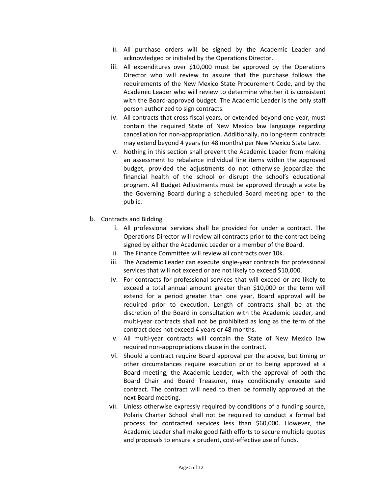- ii. All purchase orders will be signed by the Academic Leader and acknowledged or initialed by the Operations Director.
- iii. All expenditures over \$10,000 must be approved by the Operations Director who will review to assure that the purchase follows the requirements of the New Mexico State Procurement Code, and by the Academic Leader who will review to determine whether it is consistent with the Board-approved budget. The Academic Leader is the only staff person authorized to sign contracts.
- iv. All contracts that cross fiscal years, or extended beyond one year, must contain the required State of New Mexico law language regarding cancellation for non-appropriation. Additionally, no long-term contracts may extend beyond 4 years (or 48 months) per New Mexico State Law.
- v. Nothing in this section shall prevent the Academic Leader from making an assessment to rebalance individual line items within the approved budget, provided the adjustments do not otherwise jeopardize the financial health of the school or disrupt the school's educational program. All Budget Adjustments must be approved through a vote by the Governing Board during a scheduled Board meeting open to the public.
- b. Contracts and Bidding
	- i. All professional services shall be provided for under a contract. The Operations Director will review all contracts prior to the contract being signed by either the Academic Leader or a member of the Board.
	- ii. The Finance Committee will review all contracts over 10k.
	- iii. The Academic Leader can execute single-year contracts for professional services that will not exceed or are not likely to exceed \$10,000.
	- iv. For contracts for professional services that will exceed or are likely to exceed a total annual amount greater than \$10,000 or the term will extend for a period greater than one year, Board approval will be required prior to execution. Length of contracts shall be at the discretion of the Board in consultation with the Academic Leader, and multi-year contracts shall not be prohibited as long as the term of the contract does not exceed 4 years or 48 months.
	- v. All multi-year contracts will contain the State of New Mexico law required non-appropriations clause in the contract.
	- vi. Should a contract require Board approval per the above, but timing or other circumstances require execution prior to being approved at a Board meeting, the Academic Leader, with the approval of both the Board Chair and Board Treasurer, may conditionally execute said contract. The contract will need to then be formally approved at the next Board meeting.
	- vii. Unless otherwise expressly required by conditions of a funding source, Polaris Charter School shall not be required to conduct a formal bid process for contracted services less than \$60,000. However, the Academic Leader shall make good faith efforts to secure multiple quotes and proposals to ensure a prudent, cost-effective use of funds.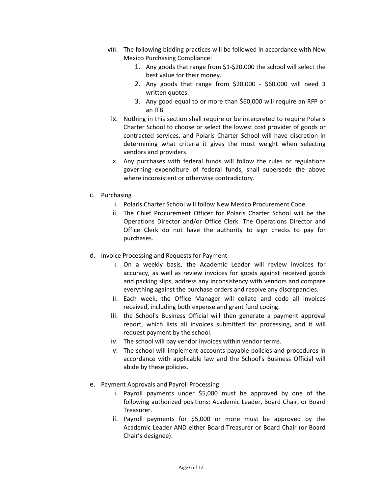- viii. The following bidding practices will be followed in accordance with New Mexico Purchasing Compliance:
	- 1. Any goods that range from \$1-\$20,000 the school will select the best value for their money.
	- 2. Any goods that range from \$20,000 \$60,000 will need 3 written quotes.
	- 3. Any good equal to or more than \$60,000 will require an RFP or an ITB.
	- ix. Nothing in this section shall require or be interpreted to require Polaris Charter School to choose or select the lowest cost provider of goods or contracted services, and Polaris Charter School will have discretion in determining what criteria it gives the most weight when selecting vendors and providers.
	- x. Any purchases with federal funds will follow the rules or regulations governing expenditure of federal funds, shall supersede the above where inconsistent or otherwise contradictory.
- c. Purchasing
	- i. Polaris Charter School will follow New Mexico Procurement Code.
	- ii. The Chief Procurement Officer for Polaris Charter School will be the Operations Director and/or Office Clerk. The Operations Director and Office Clerk do not have the authority to sign checks to pay for purchases.
- d. Invoice Processing and Requests for Payment
	- i. On a weekly basis, the Academic Leader will review invoices for accuracy, as well as review invoices for goods against received goods and packing slips, address any inconsistency with vendors and compare everything against the purchase orders and resolve any discrepancies.
	- ii. Each week, the Office Manager will collate and code all invoices received, including both expense and grant fund coding.
	- iii. the School's Business Official will then generate a payment approval report, which lists all invoices submitted for processing, and it will request payment by the school.
	- iv. The school will pay vendor invoices within vendor terms.
	- v. The school will implement accounts payable policies and procedures in accordance with applicable law and the School's Business Official will abide by these policies.
- e. Payment Approvals and Payroll Processing
	- i. Payroll payments under \$5,000 must be approved by one of the following authorized positions: Academic Leader, Board Chair, or Board Treasurer.
	- ii. Payroll payments for \$5,000 or more must be approved by the Academic Leader AND either Board Treasurer or Board Chair (or Board Chair's designee).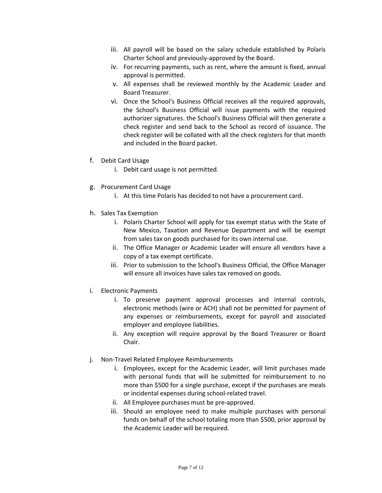- iii. All payroll will be based on the salary schedule established by Polaris Charter School and previously-approved by the Board.
- iv. For recurring payments, such as rent, where the amount is fixed, annual approval is permitted.
- v. All expenses shall be reviewed monthly by the Academic Leader and Board Treasurer.
- vi. Once the School's Business Official receives all the required approvals, the School's Business Official will issue payments with the required authorizer signatures. the School's Business Official will then generate a check register and send back to the School as record of issuance. The check register will be collated with all the check registers for that month and included in the Board packet.
- f. Debit Card Usage
	- i. Debit card usage is not permitted.
- g. Procurement Card Usage
	- i. At this time Polaris has decided to not have a procurement card.
- h. Sales Tax Exemption
	- i. Polaris Charter School will apply for tax exempt status with the State of New Mexico, Taxation and Revenue Department and will be exempt from sales tax on goods purchased for its own internal use.
	- ii. The Office Manager or Academic Leader will ensure all vendors have a copy of a tax exempt certificate.
	- iii. Prior to submission to the School's Business Official, the Office Manager will ensure all invoices have sales tax removed on goods.
- i. Electronic Payments
	- i. To preserve payment approval processes and internal controls, electronic methods (wire or ACH) shall not be permitted for payment of any expenses or reimbursements, except for payroll and associated employer and employee liabilities.
	- ii. Any exception will require approval by the Board Treasurer or Board Chair.
- j. Non-Travel Related Employee Reimbursements
	- i. Employees, except for the Academic Leader, will limit purchases made with personal funds that will be submitted for reimbursement to no more than \$500 for a single purchase, except if the purchases are meals or incidental expenses during school-related travel.
	- ii. All Employee purchases must be pre-approved.
	- iii. Should an employee need to make multiple purchases with personal funds on behalf of the school totaling more than \$500, prior approval by the Academic Leader will be required.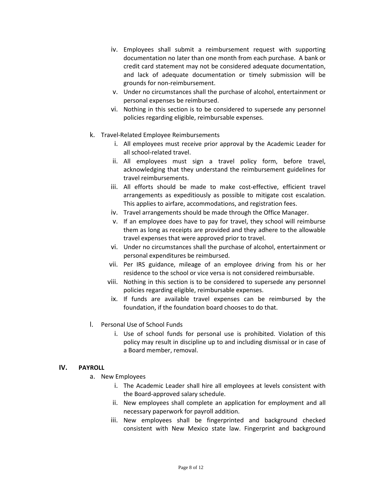- iv. Employees shall submit a reimbursement request with supporting documentation no later than one month from each purchase. A bank or credit card statement may not be considered adequate documentation, and lack of adequate documentation or timely submission will be grounds for non-reimbursement.
- v. Under no circumstances shall the purchase of alcohol, entertainment or personal expenses be reimbursed.
- vi. Nothing in this section is to be considered to supersede any personnel policies regarding eligible, reimbursable expenses.
- k. Travel-Related Employee Reimbursements
	- i. All employees must receive prior approval by the Academic Leader for all school-related travel.
	- ii. All employees must sign a travel policy form, before travel, acknowledging that they understand the reimbursement guidelines for travel reimbursements.
	- iii. All efforts should be made to make cost-effective, efficient travel arrangements as expeditiously as possible to mitigate cost escalation. This applies to airfare, accommodations, and registration fees.
	- iv. Travel arrangements should be made through the Office Manager.
	- v. If an employee does have to pay for travel, they school will reimburse them as long as receipts are provided and they adhere to the allowable travel expenses that were approved prior to travel.
	- vi. Under no circumstances shall the purchase of alcohol, entertainment or personal expenditures be reimbursed.
	- vii. Per IRS guidance, mileage of an employee driving from his or her residence to the school or vice versa is not considered reimbursable.
	- viii. Nothing in this section is to be considered to supersede any personnel policies regarding eligible, reimbursable expenses.
	- ix. If funds are available travel expenses can be reimbursed by the foundation, if the foundation board chooses to do that.
- l. Personal Use of School Funds
	- i. Use of school funds for personal use is prohibited. Violation of this policy may result in discipline up to and including dismissal or in case of a Board member, removal.

#### **IV. PAYROLL**

- a. New Employees
	- i. The Academic Leader shall hire all employees at levels consistent with the Board-approved salary schedule.
	- ii. New employees shall complete an application for employment and all necessary paperwork for payroll addition.
	- iii. New employees shall be fingerprinted and background checked consistent with New Mexico state law. Fingerprint and background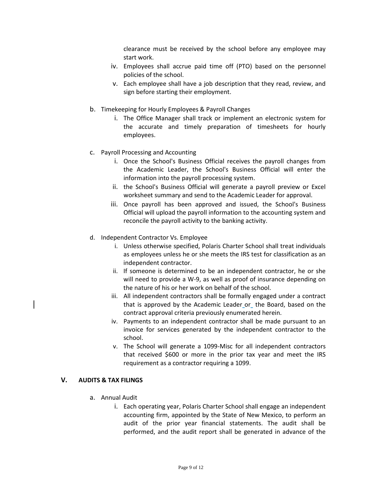clearance must be received by the school before any employee may start work.

- iv. Employees shall accrue paid time off (PTO) based on the personnel policies of the school.
- v. Each employee shall have a job description that they read, review, and sign before starting their employment.
- b. Timekeeping for Hourly Employees & Payroll Changes
	- i. The Office Manager shall track or implement an electronic system for the accurate and timely preparation of timesheets for hourly employees.
- c. Payroll Processing and Accounting
	- i. Once the School's Business Official receives the payroll changes from the Academic Leader, the School's Business Official will enter the information into the payroll processing system.
	- ii. the School's Business Official will generate a payroll preview or Excel worksheet summary and send to the Academic Leader for approval.
	- iii. Once payroll has been approved and issued, the School's Business Official will upload the payroll information to the accounting system and reconcile the payroll activity to the banking activity.
- d. Independent Contractor Vs. Employee
	- i. Unless otherwise specified, Polaris Charter School shall treat individuals as employees unless he or she meets the IRS test for classification as an independent contractor.
	- ii. If someone is determined to be an independent contractor, he or she will need to provide a W-9, as well as proof of insurance depending on the nature of his or her work on behalf of the school.
	- iii. All independent contractors shall be formally engaged under a contract that is approved by the Academic Leader or the Board, based on the contract approval criteria previously enumerated herein.
	- iv. Payments to an independent contractor shall be made pursuant to an invoice for services generated by the independent contractor to the school.
	- v. The School will generate a 1099-Misc for all independent contractors that received \$600 or more in the prior tax year and meet the IRS requirement as a contractor requiring a 1099.

#### **V. AUDITS & TAX FILINGS**

- a. Annual Audit
	- i. Each operating year, Polaris Charter School shall engage an independent accounting firm, appointed by the State of New Mexico, to perform an audit of the prior year financial statements. The audit shall be performed, and the audit report shall be generated in advance of the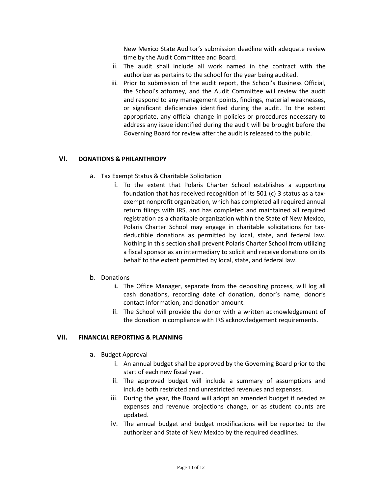New Mexico State Auditor's submission deadline with adequate review time by the Audit Committee and Board.

- ii. The audit shall include all work named in the contract with the authorizer as pertains to the school for the year being audited.
- iii. Prior to submission of the audit report, the School's Business Official, the School's attorney, and the Audit Committee will review the audit and respond to any management points, findings, material weaknesses, or significant deficiencies identified during the audit. To the extent appropriate, any official change in policies or procedures necessary to address any issue identified during the audit will be brought before the Governing Board for review after the audit is released to the public.

#### **VI. DONATIONS & PHILANTHROPY**

- a. Tax Exempt Status & Charitable Solicitation
	- i. To the extent that Polaris Charter School establishes a supporting foundation that has received recognition of its 501 (c) 3 status as a taxexempt nonprofit organization, which has completed all required annual return filings with IRS, and has completed and maintained all required registration as a charitable organization within the State of New Mexico, Polaris Charter School may engage in charitable solicitations for taxdeductible donations as permitted by local, state, and federal law. Nothing in this section shall prevent Polaris Charter School from utilizing a fiscal sponsor as an intermediary to solicit and receive donations on its behalf to the extent permitted by local, state, and federal law.
- b. Donations
	- **i.** The Office Manager, separate from the depositing process, will log all cash donations, recording date of donation, donor's name, donor's contact information, and donation amount.
	- ii. The School will provide the donor with a written acknowledgement of the donation in compliance with IRS acknowledgement requirements.

#### **VII. FINANCIAL REPORTING & PLANNING**

- a. Budget Approval
	- i. An annual budget shall be approved by the Governing Board prior to the start of each new fiscal year.
	- ii. The approved budget will include a summary of assumptions and include both restricted and unrestricted revenues and expenses.
	- iii. During the year, the Board will adopt an amended budget if needed as expenses and revenue projections change, or as student counts are updated.
	- iv. The annual budget and budget modifications will be reported to the authorizer and State of New Mexico by the required deadlines.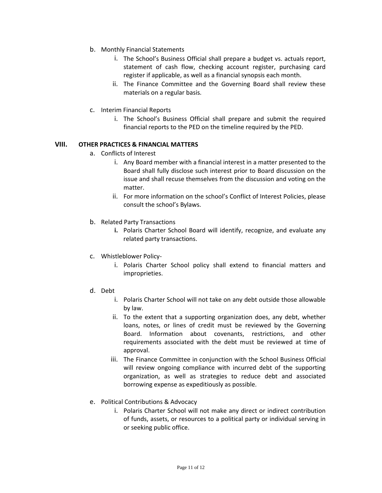- b. Monthly Financial Statements
	- i. The School's Business Official shall prepare a budget vs. actuals report, statement of cash flow, checking account register, purchasing card register if applicable, as well as a financial synopsis each month.
	- ii. The Finance Committee and the Governing Board shall review these materials on a regular basis.
- c. Interim Financial Reports
	- i. The School's Business Official shall prepare and submit the required financial reports to the PED on the timeline required by the PED.

#### **VIII. OTHER PRACTICES & FINANCIAL MATTERS**

- a. Conflicts of Interest
	- i. Any Board member with a financial interest in a matter presented to the Board shall fully disclose such interest prior to Board discussion on the issue and shall recuse themselves from the discussion and voting on the matter.
	- ii. For more information on the school's Conflict of Interest Policies, please consult the school's Bylaws.
- b. Related Party Transactions
	- **i.** Polaris Charter School Board will identify, recognize, and evaluate any related party transactions.
- c. Whistleblower Policy
	- i. Polaris Charter School policy shall extend to financial matters and improprieties.
- d. Debt
	- i. Polaris Charter School will not take on any debt outside those allowable by law.
	- ii. To the extent that a supporting organization does, any debt, whether loans, notes, or lines of credit must be reviewed by the Governing Board. Information about covenants, restrictions, and other requirements associated with the debt must be reviewed at time of approval.
	- iii. The Finance Committee in conjunction with the School Business Official will review ongoing compliance with incurred debt of the supporting organization, as well as strategies to reduce debt and associated borrowing expense as expeditiously as possible.
- e. Political Contributions & Advocacy
	- i. Polaris Charter School will not make any direct or indirect contribution of funds, assets, or resources to a political party or individual serving in or seeking public office.